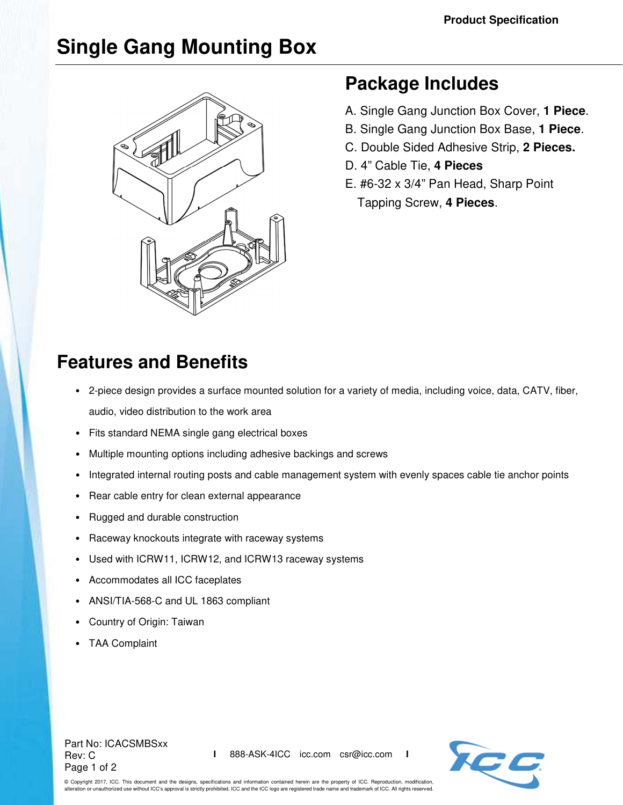# **Single Gang Mounting Box**



## **Package Includes**

- A. Single Gang Junction Box Cover, **1 Piece**.
- B. Single Gang Junction Box Base, **1 Piece**.
- C. Double Sided Adhesive Strip, **2 Pieces.**
- D. 4" Cable Tie, **4 Pieces**
- E. #6-32 x 3/4" Pan Head, Sharp Point Tapping Screw, **4 Pieces**.

## **Features and Benefits**

- 2-piece design provides a surface mounted solution for a variety of media, including voice, data, CATV, fiber, audio, video distribution to the work area
- Fits standard NEMA single gang electrical boxes
- Multiple mounting options including adhesive backings and screws
- Integrated internal routing posts and cable management system with evenly spaces cable tie anchor points
- Rear cable entry for clean external appearance
- Rugged and durable construction
- Raceway knockouts integrate with raceway systems
- Used with ICRW11, ICRW12, and ICRW13 raceway systems
- Accommodates all ICC faceplates
- ANSI/TIA-568-C and UL 1863 compliant
- Country of Origin: Taiwan
- TAA Complaint

#### Part No: ICACSMBSxx Rev: C Page 1 of 2



© Copyright 2017, ICC. This document and the designs, specifications and information contained herein are the property of ICC. Reproduction, modification, alteration or unauthorized use without ICC's approval is strictly prohibited. ICC and the ICC logo are registered trade name and trademark of ICC. All rights reserved.